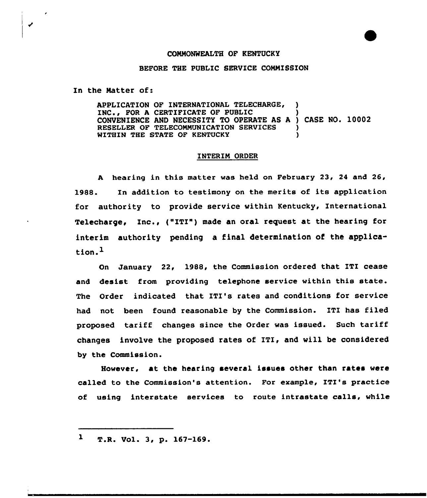## COMMONWEALTH OF KENTUCKY

## BEFORE THE PUBLIC SERVICE COMMISSION

In the Matter of:

◢

APPLICATION OF INTERNATIONAL TELECHARGE, ) INC.. FOR A CERTIFICATE OF PUBLIC CONVENIENCE AND NECESSITY TO OPERATE AS <sup>A</sup> ) CASE NO. 10002 RESELLER OF TELECOMMUNICATION SERVICES )<br>WITHIN THE STATE OF KENTUCKY ) WITHIN THE STATE OF KENTUCKY

## INTERIM ORDER

<sup>A</sup> hearing in this matter was held on February 23, 24 and 26, 1988. In addition to testimony on the merits of its application for authority to provide service within Kentucky, International Telecharge, Inc., ("ITI") made an oral request at the hearing for interim authority pending a final determination of the application.<sup>1</sup>

On January 22, 1988, the Commission ordered that ITI cease and desist from providing telephone service within this state. The Order indicated that ITI's rates and conditions for service had not been found reasonable by the Commission. ITI has filed proposed tariff changes since the Order was issued. Such tariff changes involve the proposed rates of ITI, and will be considered by the Commission.

However, at the hearing several issues other than rates were called to the Commission's attention. For example, ITI's practice of using interstate services to route intrastate calls, while

 $\mathbf{1}$ T.R. Vol. 3, p. 167-169.